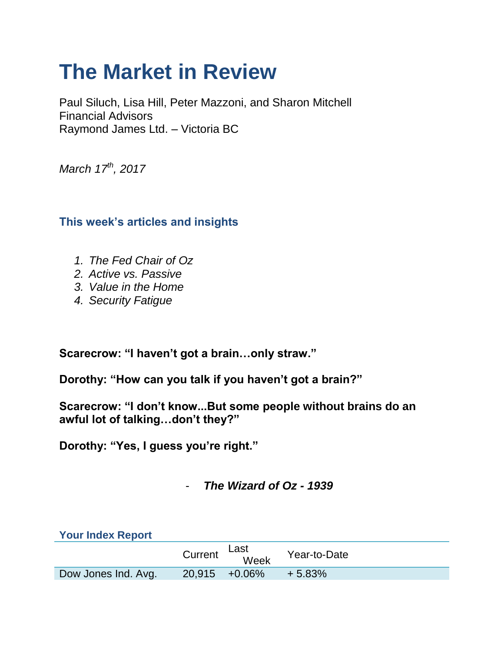# **The Market in Review**

Paul Siluch, Lisa Hill, Peter Mazzoni, and Sharon Mitchell Financial Advisors Raymond James Ltd. – Victoria BC

*March 17th, 2017*

# **This week's articles and insights**

- *1. The Fed Chair of Oz*
- *2. Active vs. Passive*
- *3. Value in the Home*
- *4. Security Fatigue*

**Scarecrow: "I haven't got a brain…only straw."**

**Dorothy: "How can you talk if you haven't got a brain?"**

**Scarecrow: "I don't know...But some people without brains do an awful lot of talking…don't they?"**

**Dorothy: "Yes, I guess you're right."**

# - *The Wizard of Oz - 1939*

| <b>Your Index Report</b> |         |                   |              |
|--------------------------|---------|-------------------|--------------|
|                          | Current | Last<br>Week      | Year-to-Date |
| Dow Jones Ind. Avg.      |         | $20.915 + 0.06\%$ | $+5.83\%$    |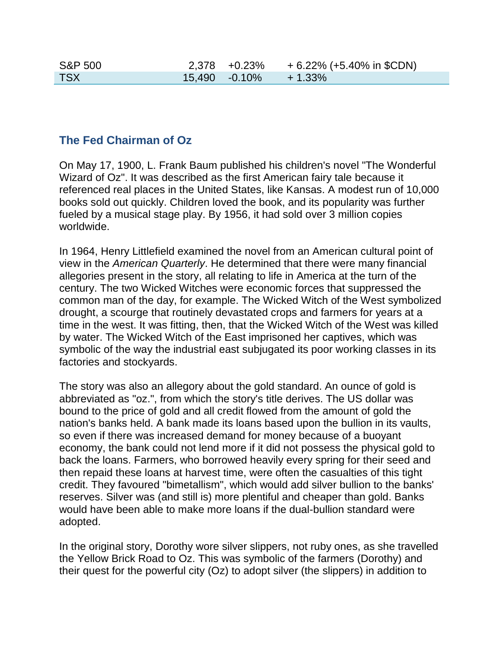| <b>S&amp;P 500</b> |                  | $2,378$ +0.23% | + 6.22% (+5.40% in \$CDN) |
|--------------------|------------------|----------------|---------------------------|
| <b>TSX</b>         | $15.490 -0.10\%$ |                | $+1.33\%$                 |

### **The Fed Chairman of Oz**

On May 17, 1900, L. Frank Baum published his children's novel "The Wonderful Wizard of Oz". It was described as the first American fairy tale because it referenced real places in the United States, like Kansas. A modest run of 10,000 books sold out quickly. Children loved the book, and its popularity was further fueled by a musical stage play. By 1956, it had sold over 3 million copies worldwide.

In 1964, Henry Littlefield examined the novel from an American cultural point of view in the *American Quarterly*. He determined that there were many financial allegories present in the story, all relating to life in America at the turn of the century. The two Wicked Witches were economic forces that suppressed the common man of the day, for example. The Wicked Witch of the West symbolized drought, a scourge that routinely devastated crops and farmers for years at a time in the west. It was fitting, then, that the Wicked Witch of the West was killed by water. The Wicked Witch of the East imprisoned her captives, which was symbolic of the way the industrial east subjugated its poor working classes in its factories and stockyards.

The story was also an allegory about the gold standard. An ounce of gold is abbreviated as "oz.", from which the story's title derives. The US dollar was bound to the price of gold and all credit flowed from the amount of gold the nation's banks held. A bank made its loans based upon the bullion in its vaults, so even if there was increased demand for money because of a buoyant economy, the bank could not lend more if it did not possess the physical gold to back the loans. Farmers, who borrowed heavily every spring for their seed and then repaid these loans at harvest time, were often the casualties of this tight credit. They favoured "bimetallism", which would add silver bullion to the banks' reserves. Silver was (and still is) more plentiful and cheaper than gold. Banks would have been able to make more loans if the dual-bullion standard were adopted.

In the original story, Dorothy wore silver slippers, not ruby ones, as she travelled the Yellow Brick Road to Oz. This was symbolic of the farmers (Dorothy) and their quest for the powerful city (Oz) to adopt silver (the slippers) in addition to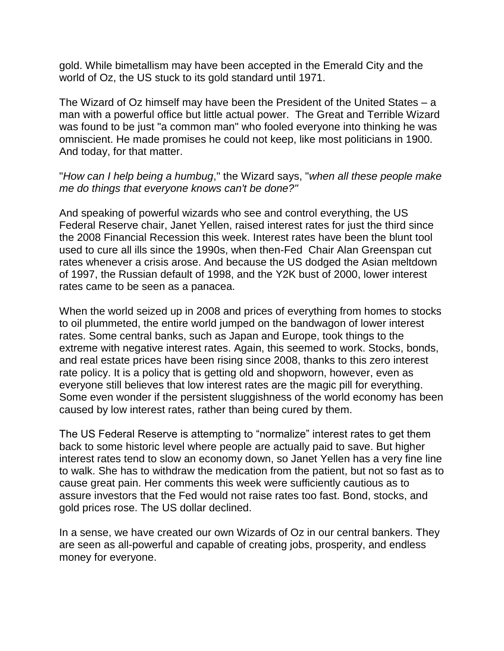gold. While bimetallism may have been accepted in the Emerald City and the world of Oz, the US stuck to its gold standard until 1971.

The Wizard of Oz himself may have been the President of the United States – a man with a powerful office but little actual power. The Great and Terrible Wizard was found to be just "a common man" who fooled everyone into thinking he was omniscient. He made promises he could not keep, like most politicians in 1900. And today, for that matter.

"*How can I help being a humbug*," the Wizard says, "*when all these people make me do things that everyone knows can't be done?"*

And speaking of powerful wizards who see and control everything, the US Federal Reserve chair, Janet Yellen, raised interest rates for just the third since the 2008 Financial Recession this week. Interest rates have been the blunt tool used to cure all ills since the 1990s, when then-Fed Chair Alan Greenspan cut rates whenever a crisis arose. And because the US dodged the Asian meltdown of 1997, the Russian default of 1998, and the Y2K bust of 2000, lower interest rates came to be seen as a panacea.

When the world seized up in 2008 and prices of everything from homes to stocks to oil plummeted, the entire world jumped on the bandwagon of lower interest rates. Some central banks, such as Japan and Europe, took things to the extreme with negative interest rates. Again, this seemed to work. Stocks, bonds, and real estate prices have been rising since 2008, thanks to this zero interest rate policy. It is a policy that is getting old and shopworn, however, even as everyone still believes that low interest rates are the magic pill for everything. Some even wonder if the persistent sluggishness of the world economy has been caused by low interest rates, rather than being cured by them.

The US Federal Reserve is attempting to "normalize" interest rates to get them back to some historic level where people are actually paid to save. But higher interest rates tend to slow an economy down, so Janet Yellen has a very fine line to walk. She has to withdraw the medication from the patient, but not so fast as to cause great pain. Her comments this week were sufficiently cautious as to assure investors that the Fed would not raise rates too fast. Bond, stocks, and gold prices rose. The US dollar declined.

In a sense, we have created our own Wizards of Oz in our central bankers. They are seen as all-powerful and capable of creating jobs, prosperity, and endless money for everyone.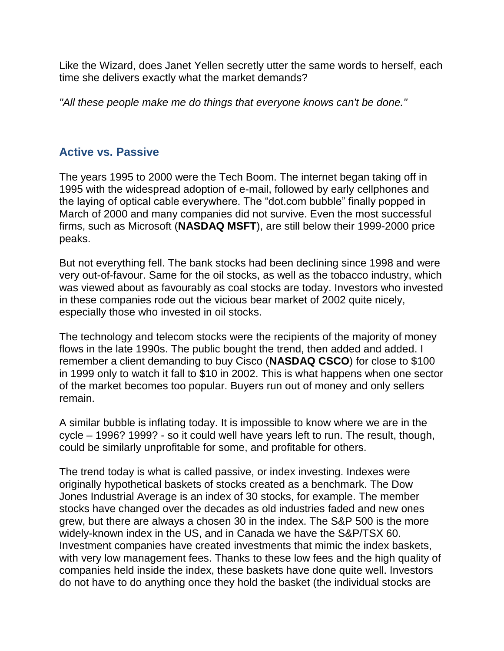Like the Wizard, does Janet Yellen secretly utter the same words to herself, each time she delivers exactly what the market demands?

*"All these people make me do things that everyone knows can't be done."*

# **Active vs. Passive**

The years 1995 to 2000 were the Tech Boom. The internet began taking off in 1995 with the widespread adoption of e-mail, followed by early cellphones and the laying of optical cable everywhere. The "dot.com bubble" finally popped in March of 2000 and many companies did not survive. Even the most successful firms, such as Microsoft (**NASDAQ MSFT**), are still below their 1999-2000 price peaks.

But not everything fell. The bank stocks had been declining since 1998 and were very out-of-favour. Same for the oil stocks, as well as the tobacco industry, which was viewed about as favourably as coal stocks are today. Investors who invested in these companies rode out the vicious bear market of 2002 quite nicely, especially those who invested in oil stocks.

The technology and telecom stocks were the recipients of the majority of money flows in the late 1990s. The public bought the trend, then added and added. I remember a client demanding to buy Cisco (**NASDAQ CSCO**) for close to \$100 in 1999 only to watch it fall to \$10 in 2002. This is what happens when one sector of the market becomes too popular. Buyers run out of money and only sellers remain.

A similar bubble is inflating today. It is impossible to know where we are in the cycle – 1996? 1999? - so it could well have years left to run. The result, though, could be similarly unprofitable for some, and profitable for others.

The trend today is what is called passive, or index investing. Indexes were originally hypothetical baskets of stocks created as a benchmark. The Dow Jones Industrial Average is an index of 30 stocks, for example. The member stocks have changed over the decades as old industries faded and new ones grew, but there are always a chosen 30 in the index. The S&P 500 is the more widely-known index in the US, and in Canada we have the S&P/TSX 60. Investment companies have created investments that mimic the index baskets, with very low management fees. Thanks to these low fees and the high quality of companies held inside the index, these baskets have done quite well. Investors do not have to do anything once they hold the basket (the individual stocks are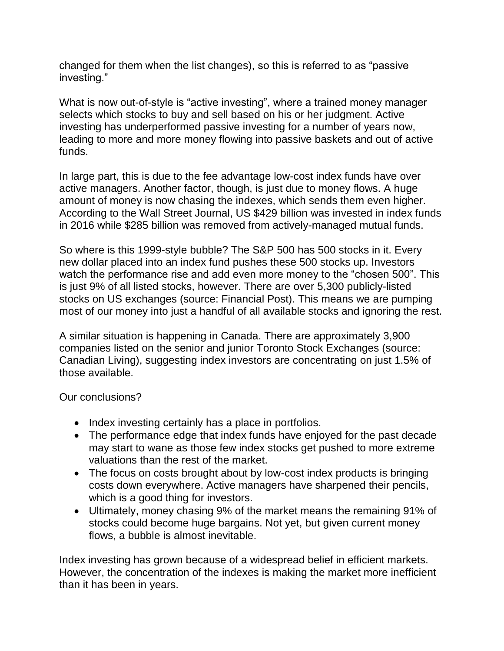changed for them when the list changes), so this is referred to as "passive investing."

What is now out-of-style is "active investing", where a trained money manager selects which stocks to buy and sell based on his or her judgment. Active investing has underperformed passive investing for a number of years now, leading to more and more money flowing into passive baskets and out of active funds.

In large part, this is due to the fee advantage low-cost index funds have over active managers. Another factor, though, is just due to money flows. A huge amount of money is now chasing the indexes, which sends them even higher. According to the Wall Street Journal, US \$429 billion was invested in index funds in 2016 while \$285 billion was removed from actively-managed mutual funds.

So where is this 1999-style bubble? The S&P 500 has 500 stocks in it. Every new dollar placed into an index fund pushes these 500 stocks up. Investors watch the performance rise and add even more money to the "chosen 500". This is just 9% of all listed stocks, however. There are over 5,300 publicly-listed stocks on US exchanges (source: Financial Post). This means we are pumping most of our money into just a handful of all available stocks and ignoring the rest.

A similar situation is happening in Canada. There are approximately 3,900 companies listed on the senior and junior Toronto Stock Exchanges (source: Canadian Living), suggesting index investors are concentrating on just 1.5% of those available.

Our conclusions?

- Index investing certainly has a place in portfolios.
- The performance edge that index funds have enjoyed for the past decade may start to wane as those few index stocks get pushed to more extreme valuations than the rest of the market.
- The focus on costs brought about by low-cost index products is bringing costs down everywhere. Active managers have sharpened their pencils, which is a good thing for investors.
- Ultimately, money chasing 9% of the market means the remaining 91% of stocks could become huge bargains. Not yet, but given current money flows, a bubble is almost inevitable.

Index investing has grown because of a widespread belief in efficient markets. However, the concentration of the indexes is making the market more inefficient than it has been in years.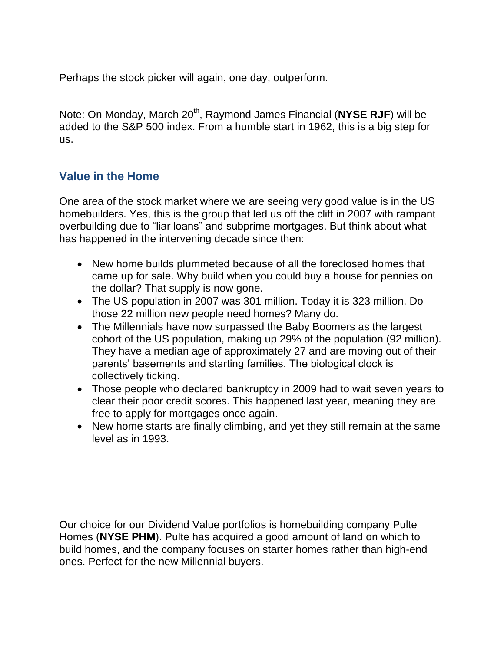Perhaps the stock picker will again, one day, outperform.

Note: On Monday, March 20<sup>th</sup>, Raymond James Financial (NYSE RJF) will be added to the S&P 500 index. From a humble start in 1962, this is a big step for us.

## **Value in the Home**

One area of the stock market where we are seeing very good value is in the US homebuilders. Yes, this is the group that led us off the cliff in 2007 with rampant overbuilding due to "liar loans" and subprime mortgages. But think about what has happened in the intervening decade since then:

- New home builds plummeted because of all the foreclosed homes that came up for sale. Why build when you could buy a house for pennies on the dollar? That supply is now gone.
- The US population in 2007 was 301 million. Today it is 323 million. Do those 22 million new people need homes? Many do.
- The Millennials have now surpassed the Baby Boomers as the largest cohort of the US population, making up 29% of the population (92 million). They have a median age of approximately 27 and are moving out of their parents' basements and starting families. The biological clock is collectively ticking.
- Those people who declared bankruptcy in 2009 had to wait seven years to clear their poor credit scores. This happened last year, meaning they are free to apply for mortgages once again.
- New home starts are finally climbing, and yet they still remain at the same level as in 1993.

Our choice for our Dividend Value portfolios is homebuilding company Pulte Homes (**NYSE PHM**). Pulte has acquired a good amount of land on which to build homes, and the company focuses on starter homes rather than high-end ones. Perfect for the new Millennial buyers.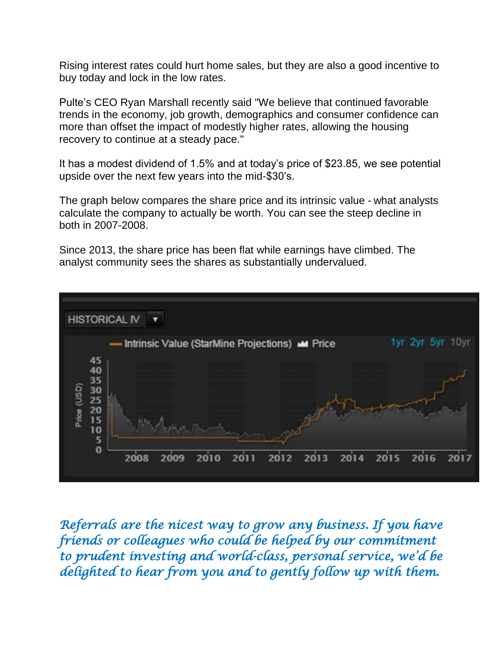Rising interest rates could hurt home sales, but they are also a good incentive to buy today and lock in the low rates.

Pulte's CEO Ryan Marshall recently said "We believe that continued favorable trends in the economy, job growth, demographics and consumer confidence can more than offset the impact of modestly higher rates, allowing the housing recovery to continue at a steady pace."

It has a modest dividend of 1.5% and at today's price of \$23.85, we see potential upside over the next few years into the mid-\$30's.

The graph below compares the share price and its intrinsic value - what analysts calculate the company to actually be worth. You can see the steep decline in both in 2007-2008.

Since 2013, the share price has been flat while earnings have climbed. The analyst community sees the shares as substantially undervalued.



*Referrals are the nicest way to grow any business. If you have friends or colleagues who could be helped by our commitment to prudent investing and world-class, personal service, we'd be delighted to hear from you and to gently follow up with them.*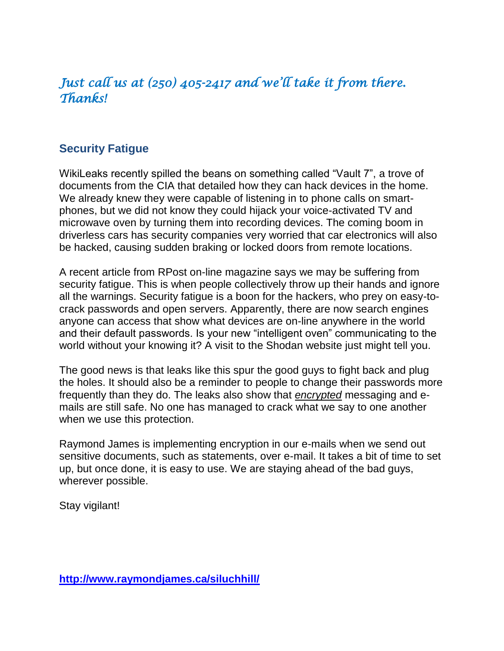# *Just call us at (250) 405-2417 and we'll take it from there. Thanks!*

# **Security Fatigue**

WikiLeaks recently spilled the beans on something called "Vault 7", a trove of documents from the CIA that detailed how they can hack devices in the home. We already knew they were capable of listening in to phone calls on smartphones, but we did not know they could hijack your voice-activated TV and microwave oven by turning them into recording devices. The coming boom in driverless cars has security companies very worried that car electronics will also be hacked, causing sudden braking or locked doors from remote locations.

A recent article from RPost on-line magazine says we may be suffering from security fatigue. This is when people collectively throw up their hands and ignore all the warnings. Security fatigue is a boon for the hackers, who prey on easy-tocrack passwords and open servers. Apparently, there are now search engines anyone can access that show what devices are on-line anywhere in the world and their default passwords. Is your new "intelligent oven" communicating to the world without your knowing it? A visit to the Shodan website just might tell you.

The good news is that leaks like this spur the good guys to fight back and plug the holes. It should also be a reminder to people to change their passwords more frequently than they do. The leaks also show that *encrypted* messaging and emails are still safe. No one has managed to crack what we say to one another when we use this protection.

Raymond James is implementing encryption in our e-mails when we send out sensitive documents, such as statements, over e-mail. It takes a bit of time to set up, but once done, it is easy to use. We are staying ahead of the bad guys, wherever possible.

Stay vigilant!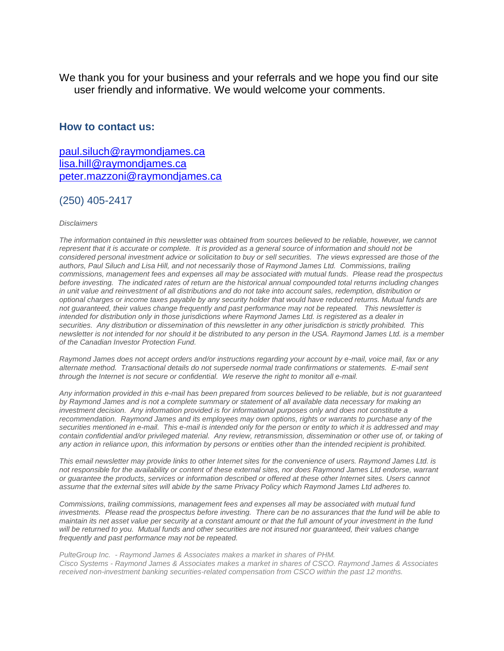We thank you for your business and your referrals and we hope you find our site user friendly and informative. We would welcome your comments.

### **How to contact us:**

[paul.siluch@raymondjames.ca](https://owa-kel.raymondjames.ca/owa/redir.aspx?SURL=z0BxOCXDlQ-Aad1f_a9igaARxm5Rd1VXE7UcmD4mZ3IZiacj7DPTCG0AYQBpAGwAdABvADoAcABhAHUAbAAuAHMAaQBsAHUAYwBoAEAAcgBhAHkAbQBvAG4AZABqAGEAbQBlAHMALgBjAGEA&URL=mailto%3apaul.siluch%40raymondjames.ca) [lisa.hill@raymondjames.ca](https://owa-kel.raymondjames.ca/owa/redir.aspx?SURL=glaBgdTdxPMFpiw4eumg-PzZXpo9vJyObrXLs1TKtIAZiacj7DPTCG0AYQBpAGwAdABvADoAbABpAHMAYQAuAGgAaQBsAGwAQAByAGEAeQBtAG8AbgBkAGoAYQBtAGUAcwAuAGMAYQA.&URL=mailto%3alisa.hill%40raymondjames.ca) [peter.mazzoni@raymondjames.ca](https://owa-kel.raymondjames.ca/owa/redir.aspx?SURL=3c7mDL9-cZxYXt7CvkOu20QVFy1WCaDQxUZ3BQE6vecZiacj7DPTCG0AYQBpAGwAdABvADoAcABlAHQAZQByAC4AbQBhAHoAegBvAG4AaQBAAHIAYQB5AG0AbwBuAGQAagBhAG0AZQBzAC4AYwBhAA..&URL=mailto%3apeter.mazzoni%40raymondjames.ca)

### (250) 405-2417

#### *Disclaimers*

*[The information contained in this newsletter was obtained from sources believed to be reliable, however, we cannot](https://owa-kel.raymondjames.ca/owa/redir.aspx?SURL=z0BxOCXDlQ-Aad1f_a9igaARxm5Rd1VXE7UcmD4mZ3IZiacj7DPTCG0AYQBpAGwAdABvADoAcABhAHUAbAAuAHMAaQBsAHUAYwBoAEAAcgBhAHkAbQBvAG4AZABqAGEAbQBlAHMALgBjAGEA&URL=mailto%3apaul.siluch%40raymondjames.ca)  represent that it is accurate or complete. [It is provided as a general source of information and should not be](https://owa-kel.raymondjames.ca/owa/redir.aspx?SURL=z0BxOCXDlQ-Aad1f_a9igaARxm5Rd1VXE7UcmD4mZ3IZiacj7DPTCG0AYQBpAGwAdABvADoAcABhAHUAbAAuAHMAaQBsAHUAYwBoAEAAcgBhAHkAbQBvAG4AZABqAGEAbQBlAHMALgBjAGEA&URL=mailto%3apaul.siluch%40raymondjames.ca)  [considered personal investment advice or solicitation to buy or sell securities.](https://owa-kel.raymondjames.ca/owa/redir.aspx?SURL=z0BxOCXDlQ-Aad1f_a9igaARxm5Rd1VXE7UcmD4mZ3IZiacj7DPTCG0AYQBpAGwAdABvADoAcABhAHUAbAAuAHMAaQBsAHUAYwBoAEAAcgBhAHkAbQBvAG4AZABqAGEAbQBlAHMALgBjAGEA&URL=mailto%3apaul.siluch%40raymondjames.ca) The views expressed are those of the [authors, Paul Siluch and Lisa Hill, and not necessarily those of Raymond James Ltd.](https://owa-kel.raymondjames.ca/owa/redir.aspx?SURL=z0BxOCXDlQ-Aad1f_a9igaARxm5Rd1VXE7UcmD4mZ3IZiacj7DPTCG0AYQBpAGwAdABvADoAcABhAHUAbAAuAHMAaQBsAHUAYwBoAEAAcgBhAHkAbQBvAG4AZABqAGEAbQBlAHMALgBjAGEA&URL=mailto%3apaul.siluch%40raymondjames.ca) Commissions, trailing [commissions, management fees and expenses all may be associated with mutual funds.](https://owa-kel.raymondjames.ca/owa/redir.aspx?SURL=z0BxOCXDlQ-Aad1f_a9igaARxm5Rd1VXE7UcmD4mZ3IZiacj7DPTCG0AYQBpAGwAdABvADoAcABhAHUAbAAuAHMAaQBsAHUAYwBoAEAAcgBhAHkAbQBvAG4AZABqAGEAbQBlAHMALgBjAGEA&URL=mailto%3apaul.siluch%40raymondjames.ca) Please read the prospectus before investing. [The indicated rates of return are the historical annual compounded total returns including changes](https://owa-kel.raymondjames.ca/owa/redir.aspx?SURL=z0BxOCXDlQ-Aad1f_a9igaARxm5Rd1VXE7UcmD4mZ3IZiacj7DPTCG0AYQBpAGwAdABvADoAcABhAHUAbAAuAHMAaQBsAHUAYwBoAEAAcgBhAHkAbQBvAG4AZABqAGEAbQBlAHMALgBjAGEA&URL=mailto%3apaul.siluch%40raymondjames.ca)  [in unit value and reinvestment of all distributions and do not take into account sales, redemption, distribution or](https://owa-kel.raymondjames.ca/owa/redir.aspx?SURL=z0BxOCXDlQ-Aad1f_a9igaARxm5Rd1VXE7UcmD4mZ3IZiacj7DPTCG0AYQBpAGwAdABvADoAcABhAHUAbAAuAHMAaQBsAHUAYwBoAEAAcgBhAHkAbQBvAG4AZABqAGEAbQBlAHMALgBjAGEA&URL=mailto%3apaul.siluch%40raymondjames.ca)  [optional charges or income taxes payable by any security holder that would have reduced returns. Mutual funds are](https://owa-kel.raymondjames.ca/owa/redir.aspx?SURL=z0BxOCXDlQ-Aad1f_a9igaARxm5Rd1VXE7UcmD4mZ3IZiacj7DPTCG0AYQBpAGwAdABvADoAcABhAHUAbAAuAHMAaQBsAHUAYwBoAEAAcgBhAHkAbQBvAG4AZABqAGEAbQBlAHMALgBjAGEA&URL=mailto%3apaul.siluch%40raymondjames.ca)  not guaranteed, their [values change frequently and past performance may not be repeated.](https://owa-kel.raymondjames.ca/owa/redir.aspx?SURL=z0BxOCXDlQ-Aad1f_a9igaARxm5Rd1VXE7UcmD4mZ3IZiacj7DPTCG0AYQBpAGwAdABvADoAcABhAHUAbAAuAHMAaQBsAHUAYwBoAEAAcgBhAHkAbQBvAG4AZABqAGEAbQBlAHMALgBjAGEA&URL=mailto%3apaul.siluch%40raymondjames.ca) This newsletter is [intended for distribution only in those jurisdictions where Raymond James Ltd. is registered as a dealer in](https://owa-kel.raymondjames.ca/owa/redir.aspx?SURL=z0BxOCXDlQ-Aad1f_a9igaARxm5Rd1VXE7UcmD4mZ3IZiacj7DPTCG0AYQBpAGwAdABvADoAcABhAHUAbAAuAHMAaQBsAHUAYwBoAEAAcgBhAHkAbQBvAG4AZABqAGEAbQBlAHMALgBjAGEA&URL=mailto%3apaul.siluch%40raymondjames.ca)  securities. [Any distribution or dissemination of this newsletter in any other jurisdiction is strictly prohibited.](https://owa-kel.raymondjames.ca/owa/redir.aspx?SURL=z0BxOCXDlQ-Aad1f_a9igaARxm5Rd1VXE7UcmD4mZ3IZiacj7DPTCG0AYQBpAGwAdABvADoAcABhAHUAbAAuAHMAaQBsAHUAYwBoAEAAcgBhAHkAbQBvAG4AZABqAGEAbQBlAHMALgBjAGEA&URL=mailto%3apaul.siluch%40raymondjames.ca) This [newsletter is not intended for nor should it be distributed to any person in the USA. Raymond James Ltd. is a member](https://owa-kel.raymondjames.ca/owa/redir.aspx?SURL=z0BxOCXDlQ-Aad1f_a9igaARxm5Rd1VXE7UcmD4mZ3IZiacj7DPTCG0AYQBpAGwAdABvADoAcABhAHUAbAAuAHMAaQBsAHUAYwBoAEAAcgBhAHkAbQBvAG4AZABqAGEAbQBlAHMALgBjAGEA&URL=mailto%3apaul.siluch%40raymondjames.ca)  [of the Canadian Investor Protection Fund.](https://owa-kel.raymondjames.ca/owa/redir.aspx?SURL=z0BxOCXDlQ-Aad1f_a9igaARxm5Rd1VXE7UcmD4mZ3IZiacj7DPTCG0AYQBpAGwAdABvADoAcABhAHUAbAAuAHMAaQBsAHUAYwBoAEAAcgBhAHkAbQBvAG4AZABqAGEAbQBlAHMALgBjAGEA&URL=mailto%3apaul.siluch%40raymondjames.ca)* 

*Raymond James [does not accept orders and/or instructions regarding your account by e-mail, voice mail, fax or any](https://owa-kel.raymondjames.ca/owa/redir.aspx?SURL=z0BxOCXDlQ-Aad1f_a9igaARxm5Rd1VXE7UcmD4mZ3IZiacj7DPTCG0AYQBpAGwAdABvADoAcABhAHUAbAAuAHMAaQBsAHUAYwBoAEAAcgBhAHkAbQBvAG4AZABqAGEAbQBlAHMALgBjAGEA&URL=mailto%3apaul.siluch%40raymondjames.ca)  alternate method. [Transactional details do not supersede normal trade confirmations or statements.](https://owa-kel.raymondjames.ca/owa/redir.aspx?SURL=z0BxOCXDlQ-Aad1f_a9igaARxm5Rd1VXE7UcmD4mZ3IZiacj7DPTCG0AYQBpAGwAdABvADoAcABhAHUAbAAuAHMAaQBsAHUAYwBoAEAAcgBhAHkAbQBvAG4AZABqAGEAbQBlAHMALgBjAGEA&URL=mailto%3apaul.siluch%40raymondjames.ca) E-mail sent [through the Internet is not secure or confidential.](https://owa-kel.raymondjames.ca/owa/redir.aspx?SURL=z0BxOCXDlQ-Aad1f_a9igaARxm5Rd1VXE7UcmD4mZ3IZiacj7DPTCG0AYQBpAGwAdABvADoAcABhAHUAbAAuAHMAaQBsAHUAYwBoAEAAcgBhAHkAbQBvAG4AZABqAGEAbQBlAHMALgBjAGEA&URL=mailto%3apaul.siluch%40raymondjames.ca) We reserve the right to monitor all e-mail.*

*[Any information provided in this e-mail has been prepared from sources believed to be reliable, but is not guaranteed](https://owa-kel.raymondjames.ca/owa/redir.aspx?SURL=z0BxOCXDlQ-Aad1f_a9igaARxm5Rd1VXE7UcmD4mZ3IZiacj7DPTCG0AYQBpAGwAdABvADoAcABhAHUAbAAuAHMAaQBsAHUAYwBoAEAAcgBhAHkAbQBvAG4AZABqAGEAbQBlAHMALgBjAGEA&URL=mailto%3apaul.siluch%40raymondjames.ca)  by Raymond James [and is not a complete summary or statement of all available](https://owa-kel.raymondjames.ca/owa/redir.aspx?SURL=z0BxOCXDlQ-Aad1f_a9igaARxm5Rd1VXE7UcmD4mZ3IZiacj7DPTCG0AYQBpAGwAdABvADoAcABhAHUAbAAuAHMAaQBsAHUAYwBoAEAAcgBhAHkAbQBvAG4AZABqAGEAbQBlAHMALgBjAGEA&URL=mailto%3apaul.siluch%40raymondjames.ca) data necessary for making an investment decision. [Any information provided is for informational purposes only and does not constitute a](https://owa-kel.raymondjames.ca/owa/redir.aspx?SURL=z0BxOCXDlQ-Aad1f_a9igaARxm5Rd1VXE7UcmD4mZ3IZiacj7DPTCG0AYQBpAGwAdABvADoAcABhAHUAbAAuAHMAaQBsAHUAYwBoAEAAcgBhAHkAbQBvAG4AZABqAGEAbQBlAHMALgBjAGEA&URL=mailto%3apaul.siluch%40raymondjames.ca)  recommendation. Raymond James [and its employees may own options, rights or warrants to purchase any of the](https://owa-kel.raymondjames.ca/owa/redir.aspx?SURL=z0BxOCXDlQ-Aad1f_a9igaARxm5Rd1VXE7UcmD4mZ3IZiacj7DPTCG0AYQBpAGwAdABvADoAcABhAHUAbAAuAHMAaQBsAHUAYwBoAEAAcgBhAHkAbQBvAG4AZABqAGEAbQBlAHMALgBjAGEA&URL=mailto%3apaul.siluch%40raymondjames.ca)  securities mentioned in e-mail. [This e-mail is intended only for the person or entity to which it is addressed and may](https://owa-kel.raymondjames.ca/owa/redir.aspx?SURL=z0BxOCXDlQ-Aad1f_a9igaARxm5Rd1VXE7UcmD4mZ3IZiacj7DPTCG0AYQBpAGwAdABvADoAcABhAHUAbAAuAHMAaQBsAHUAYwBoAEAAcgBhAHkAbQBvAG4AZABqAGEAbQBlAHMALgBjAGEA&URL=mailto%3apaul.siluch%40raymondjames.ca)  contain confidential and/or privileged material. [Any review, retransmission, dissemination or other use of, or taking of](https://owa-kel.raymondjames.ca/owa/redir.aspx?SURL=z0BxOCXDlQ-Aad1f_a9igaARxm5Rd1VXE7UcmD4mZ3IZiacj7DPTCG0AYQBpAGwAdABvADoAcABhAHUAbAAuAHMAaQBsAHUAYwBoAEAAcgBhAHkAbQBvAG4AZABqAGEAbQBlAHMALgBjAGEA&URL=mailto%3apaul.siluch%40raymondjames.ca)  [any action in reliance upon, this information by persons or entities other than the intended recipient is prohibited.](https://owa-kel.raymondjames.ca/owa/redir.aspx?SURL=z0BxOCXDlQ-Aad1f_a9igaARxm5Rd1VXE7UcmD4mZ3IZiacj7DPTCG0AYQBpAGwAdABvADoAcABhAHUAbAAuAHMAaQBsAHUAYwBoAEAAcgBhAHkAbQBvAG4AZABqAGEAbQBlAHMALgBjAGEA&URL=mailto%3apaul.siluch%40raymondjames.ca)*

*This email newsletter may provide links to other Internet sites for the convenience of users. Raymond James Ltd. is not responsible for the availability or content of these external sites, nor does Raymond James Ltd endorse, warrant or guarantee the products, services or information described or offered at these other Internet sites. Users cannot assume that the external sites will abide by the same Privacy Policy which Raymond James Ltd adheres to.*

*Commissions, trailing commissions, management fees and expenses all may be associated with mutual fund investments. Please read the prospectus before investing. There can be no assurances that the fund will be able to maintain its net asset value per security at a constant amount or that the full amount of your investment in the fund will be returned to you. Mutual funds and other securities are not insured nor guaranteed, their values change frequently and past performance may not be repeated.*

*PulteGroup Inc. - Raymond James & Associates makes a market in shares of PHM. Cisco Systems - Raymond James & Associates makes a market in shares of CSCO. Raymond James & Associates received non-investment banking securities-related compensation from CSCO within the past 12 months.*